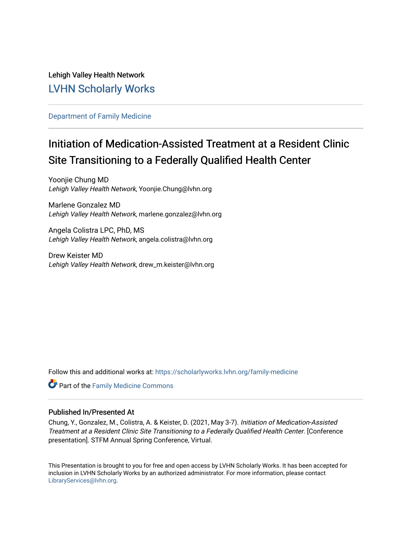### Lehigh Valley Health Network [LVHN Scholarly Works](https://scholarlyworks.lvhn.org/)

#### [Department of Family Medicine](https://scholarlyworks.lvhn.org/family-medicine)

# Initiation of Medication-Assisted Treatment at a Resident Clinic Site Transitioning to a Federally Qualified Health Center

Yoonjie Chung MD Lehigh Valley Health Network, Yoonjie.Chung@lvhn.org

Marlene Gonzalez MD Lehigh Valley Health Network, marlene.gonzalez@lvhn.org

Angela Colistra LPC, PhD, MS Lehigh Valley Health Network, angela.colistra@lvhn.org

Drew Keister MD Lehigh Valley Health Network, drew\_m.keister@lvhn.org

Follow this and additional works at: [https://scholarlyworks.lvhn.org/family-medicine](https://scholarlyworks.lvhn.org/family-medicine?utm_source=scholarlyworks.lvhn.org%2Ffamily-medicine%2F717&utm_medium=PDF&utm_campaign=PDFCoverPages) 

Part of the [Family Medicine Commons](http://network.bepress.com/hgg/discipline/1354?utm_source=scholarlyworks.lvhn.org%2Ffamily-medicine%2F717&utm_medium=PDF&utm_campaign=PDFCoverPages) 

#### Published In/Presented At

Chung, Y., Gonzalez, M., Colistra, A. & Keister, D. (2021, May 3-7). Initiation of Medication-Assisted Treatment at a Resident Clinic Site Transitioning to a Federally Qualified Health Center. [Conference presentation]. STFM Annual Spring Conference, Virtual.

This Presentation is brought to you for free and open access by LVHN Scholarly Works. It has been accepted for inclusion in LVHN Scholarly Works by an authorized administrator. For more information, please contact [LibraryServices@lvhn.org](mailto:LibraryServices@lvhn.org).